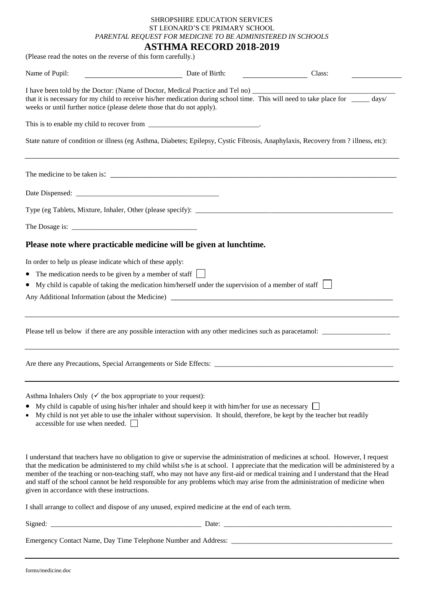## SHROPSHIRE EDUCATION SERVICES ST LEONARD'S CE PRIMARY SCHOOL *PARENTAL REQUEST FOR MEDICINE TO BE ADMINISTERED IN SCHOOLS*

**ASTHMA RECORD 2018-2019** (Please read the notes on the reverse of this form carefully.)

| Name of Pupil:                                                                                                                   | Date of Birth:                                                                                                                                                                                                                 | Class:<br><u> 1990 - John Stein, Amerikaansk politiker</u>                                                                                                                                                                                                                                                                                                                                                                                                                                                                                  |
|----------------------------------------------------------------------------------------------------------------------------------|--------------------------------------------------------------------------------------------------------------------------------------------------------------------------------------------------------------------------------|---------------------------------------------------------------------------------------------------------------------------------------------------------------------------------------------------------------------------------------------------------------------------------------------------------------------------------------------------------------------------------------------------------------------------------------------------------------------------------------------------------------------------------------------|
| weeks or until further notice (please delete those that do not apply).                                                           | I have been told by the Doctor: (Name of Doctor, Medical Practice and Tel no) ______                                                                                                                                           | that it is necessary for my child to receive his/her medication during school time. This will need to take place for _____ days/                                                                                                                                                                                                                                                                                                                                                                                                            |
|                                                                                                                                  |                                                                                                                                                                                                                                |                                                                                                                                                                                                                                                                                                                                                                                                                                                                                                                                             |
|                                                                                                                                  |                                                                                                                                                                                                                                | State nature of condition or illness (eg Asthma, Diabetes; Epilepsy, Cystic Fibrosis, Anaphylaxis, Recovery from ? illness, etc):                                                                                                                                                                                                                                                                                                                                                                                                           |
|                                                                                                                                  |                                                                                                                                                                                                                                |                                                                                                                                                                                                                                                                                                                                                                                                                                                                                                                                             |
|                                                                                                                                  |                                                                                                                                                                                                                                |                                                                                                                                                                                                                                                                                                                                                                                                                                                                                                                                             |
|                                                                                                                                  |                                                                                                                                                                                                                                |                                                                                                                                                                                                                                                                                                                                                                                                                                                                                                                                             |
|                                                                                                                                  |                                                                                                                                                                                                                                |                                                                                                                                                                                                                                                                                                                                                                                                                                                                                                                                             |
|                                                                                                                                  | Please note where practicable medicine will be given at lunchtime.                                                                                                                                                             |                                                                                                                                                                                                                                                                                                                                                                                                                                                                                                                                             |
| In order to help us please indicate which of these apply:<br>The medication needs to be given by a member of staff<br>$\bullet$  | My child is capable of taking the medication him/herself under the supervision of a member of staff<br>Any Additional Information (about the Medicine) _________________________________                                       |                                                                                                                                                                                                                                                                                                                                                                                                                                                                                                                                             |
|                                                                                                                                  |                                                                                                                                                                                                                                |                                                                                                                                                                                                                                                                                                                                                                                                                                                                                                                                             |
|                                                                                                                                  | Are there any Precautions, Special Arrangements or Side Effects:                                                                                                                                                               |                                                                                                                                                                                                                                                                                                                                                                                                                                                                                                                                             |
| Asthma Inhalers Only ( $\checkmark$ the box appropriate to your request):<br>$\bullet$<br>accessible for use when needed. $\Box$ | My child is capable of using his/her inhaler and should keep it with him/her for use as necessary<br>My child is not yet able to use the inhaler without supervision. It should, therefore, be kept by the teacher but readily |                                                                                                                                                                                                                                                                                                                                                                                                                                                                                                                                             |
| given in accordance with these instructions.                                                                                     |                                                                                                                                                                                                                                | I understand that teachers have no obligation to give or supervise the administration of medicines at school. However, I request<br>that the medication be administered to my child whilst s/he is at school. I appreciate that the medication will be administered by a<br>member of the teaching or non-teaching staff, who may not have any first-aid or medical training and I understand that the Head<br>and staff of the school cannot be held responsible for any problems which may arise from the administration of medicine when |
|                                                                                                                                  | I shall arrange to collect and dispose of any unused, expired medicine at the end of each term.                                                                                                                                |                                                                                                                                                                                                                                                                                                                                                                                                                                                                                                                                             |
|                                                                                                                                  |                                                                                                                                                                                                                                |                                                                                                                                                                                                                                                                                                                                                                                                                                                                                                                                             |

Emergency Contact Name, Day Time Telephone Number and Address: \_\_\_\_\_\_\_\_\_\_\_\_\_\_\_\_\_\_\_\_\_\_\_\_\_\_\_\_\_\_\_\_\_\_\_\_\_\_\_\_\_\_\_\_\_